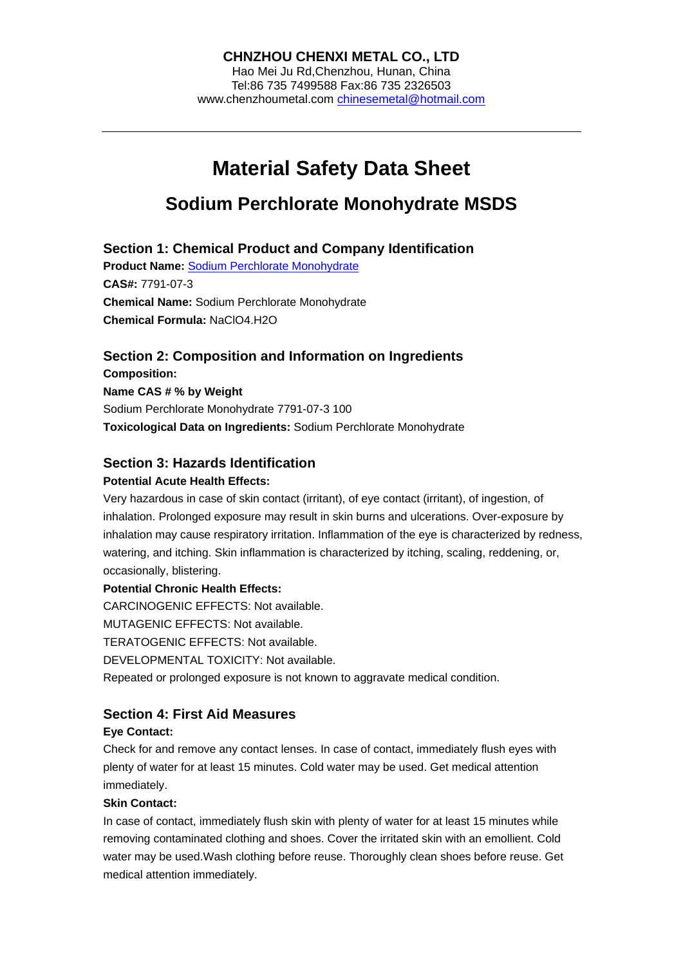Hao Mei Ju Rd,Chenzhou, Hunan, China Tel:86 735 7499588 Fax:86 735 2326503 www.chenzhoumetal.com chinesemetal@hotmail.com

# **Material Safety Data Sheet**

## **Sodium Perchlorate Monohydrate MSDS**

## **Section 1: Chemical Product and Company Identification**

**Product Name:** Sodium Perchlorate Monohydrate **CAS#:** 7791-07-3 **Chemical Name:** Sodium Perchlorate Monohydrate **Chemical Formula:** NaClO4.H2O

## **Section 2: Composition and Information on Ingredients**

**Composition: Name CAS # % by Weight**  Sodium Perchlorate Monohydrate 7791-07-3 100 **Toxicological Data on Ingredients:** Sodium Perchlorate Monohydrate

## **Section 3: Hazards Identification**

#### **Potential Acute Health Effects:**

Very hazardous in case of skin contact (irritant), of eye contact (irritant), of ingestion, of inhalation. Prolonged exposure may result in skin burns and ulcerations. Over-exposure by inhalation may cause respiratory irritation. Inflammation of the eye is characterized by redness, watering, and itching. Skin inflammation is characterized by itching, scaling, reddening, or, occasionally, blistering.

#### **Potential Chronic Health Effects:**

CARCINOGENIC EFFECTS: Not available.

MUTAGENIC EFFECTS: Not available.

TERATOGENIC EFFECTS: Not available.

DEVELOPMENTAL TOXICITY: Not available.

Repeated or prolonged exposure is not known to aggravate medical condition.

## **Section 4: First Aid Measures**

#### **Eye Contact:**

Check for and remove any contact lenses. In case of contact, immediately flush eyes with plenty of water for at least 15 minutes. Cold water may be used. Get medical attention immediately.

#### **Skin Contact:**

In case of contact, immediately flush skin with plenty of water for at least 15 minutes while removing contaminated clothing and shoes. Cover the irritated skin with an emollient. Cold water may be used.Wash clothing before reuse. Thoroughly clean shoes before reuse. Get medical attention immediately.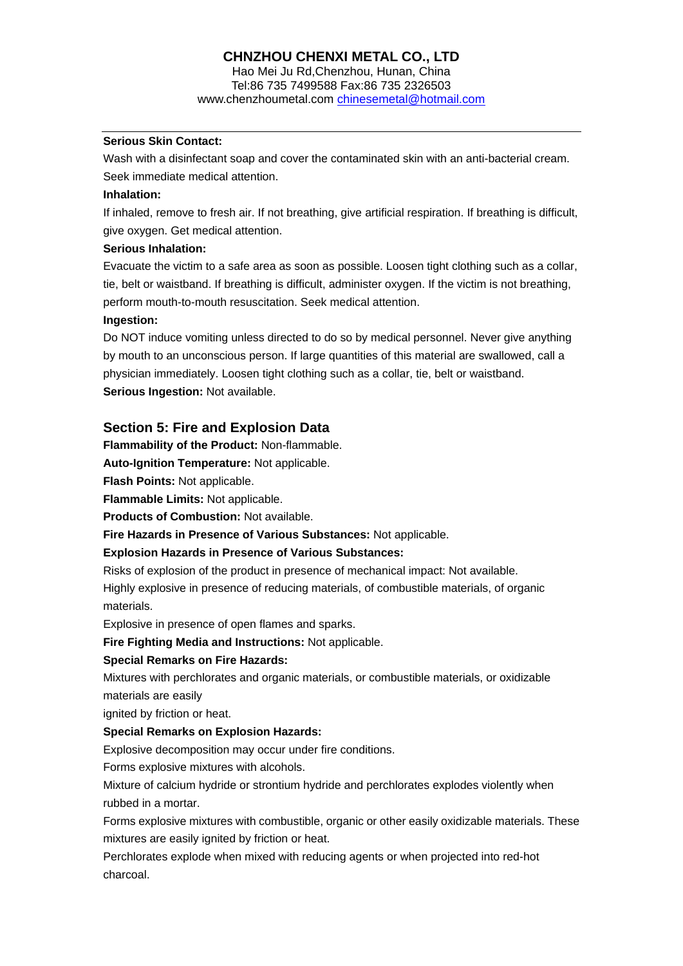Hao Mei Ju Rd,Chenzhou, Hunan, China Tel:86 735 7499588 Fax:86 735 2326503 www.chenzhoumetal.com chinesemetal@hotmail.com

#### **Serious Skin Contact:**

Wash with a disinfectant soap and cover the contaminated skin with an anti-bacterial cream. Seek immediate medical attention.

#### **Inhalation:**

If inhaled, remove to fresh air. If not breathing, give artificial respiration. If breathing is difficult, give oxygen. Get medical attention.

#### **Serious Inhalation:**

Evacuate the victim to a safe area as soon as possible. Loosen tight clothing such as a collar, tie, belt or waistband. If breathing is difficult, administer oxygen. If the victim is not breathing, perform mouth-to-mouth resuscitation. Seek medical attention.

#### **Ingestion:**

Do NOT induce vomiting unless directed to do so by medical personnel. Never give anything by mouth to an unconscious person. If large quantities of this material are swallowed, call a physician immediately. Loosen tight clothing such as a collar, tie, belt or waistband. **Serious Ingestion: Not available.** 

#### **Section 5: Fire and Explosion Data**

**Flammability of the Product:** Non-flammable.

**Auto-Ignition Temperature:** Not applicable.

**Flash Points:** Not applicable.

**Flammable Limits:** Not applicable.

**Products of Combustion:** Not available.

**Fire Hazards in Presence of Various Substances:** Not applicable.

#### **Explosion Hazards in Presence of Various Substances:**

Risks of explosion of the product in presence of mechanical impact: Not available.

Highly explosive in presence of reducing materials, of combustible materials, of organic materials.

Explosive in presence of open flames and sparks.

**Fire Fighting Media and Instructions:** Not applicable.

#### **Special Remarks on Fire Hazards:**

Mixtures with perchlorates and organic materials, or combustible materials, or oxidizable materials are easily

ignited by friction or heat.

#### **Special Remarks on Explosion Hazards:**

Explosive decomposition may occur under fire conditions.

Forms explosive mixtures with alcohols.

Mixture of calcium hydride or strontium hydride and perchlorates explodes violently when rubbed in a mortar.

Forms explosive mixtures with combustible, organic or other easily oxidizable materials. These mixtures are easily ignited by friction or heat.

Perchlorates explode when mixed with reducing agents or when projected into red-hot charcoal.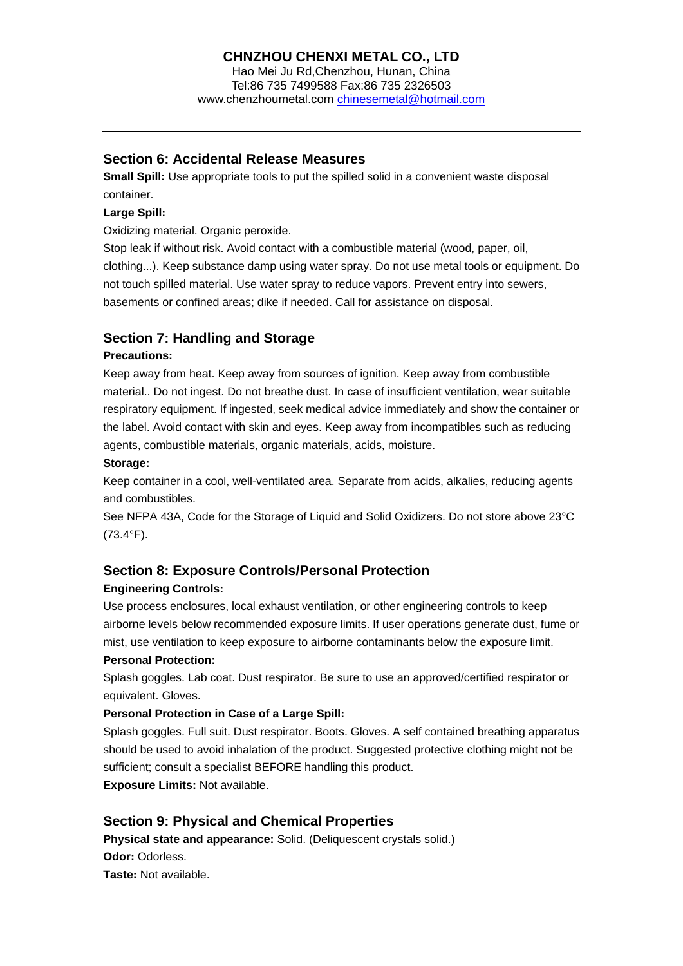Hao Mei Ju Rd,Chenzhou, Hunan, China Tel:86 735 7499588 Fax:86 735 2326503 www.chenzhoumetal.com chinesemetal@hotmail.com

#### **Section 6: Accidental Release Measures**

**Small Spill:** Use appropriate tools to put the spilled solid in a convenient waste disposal container.

#### **Large Spill:**

Oxidizing material. Organic peroxide.

Stop leak if without risk. Avoid contact with a combustible material (wood, paper, oil, clothing...). Keep substance damp using water spray. Do not use metal tools or equipment. Do not touch spilled material. Use water spray to reduce vapors. Prevent entry into sewers, basements or confined areas; dike if needed. Call for assistance on disposal.

## **Section 7: Handling and Storage**

#### **Precautions:**

Keep away from heat. Keep away from sources of ignition. Keep away from combustible material.. Do not ingest. Do not breathe dust. In case of insufficient ventilation, wear suitable respiratory equipment. If ingested, seek medical advice immediately and show the container or the label. Avoid contact with skin and eyes. Keep away from incompatibles such as reducing agents, combustible materials, organic materials, acids, moisture.

#### **Storage:**

Keep container in a cool, well-ventilated area. Separate from acids, alkalies, reducing agents and combustibles.

See NFPA 43A, Code for the Storage of Liquid and Solid Oxidizers. Do not store above 23°C (73.4°F).

## **Section 8: Exposure Controls/Personal Protection**

#### **Engineering Controls:**

Use process enclosures, local exhaust ventilation, or other engineering controls to keep airborne levels below recommended exposure limits. If user operations generate dust, fume or mist, use ventilation to keep exposure to airborne contaminants below the exposure limit.

#### **Personal Protection:**

Splash goggles. Lab coat. Dust respirator. Be sure to use an approved/certified respirator or equivalent. Gloves.

#### **Personal Protection in Case of a Large Spill:**

Splash goggles. Full suit. Dust respirator. Boots. Gloves. A self contained breathing apparatus should be used to avoid inhalation of the product. Suggested protective clothing might not be sufficient; consult a specialist BEFORE handling this product.

**Exposure Limits:** Not available.

## **Section 9: Physical and Chemical Properties**

**Physical state and appearance:** Solid. (Deliquescent crystals solid.) **Odor:** Odorless. **Taste:** Not available.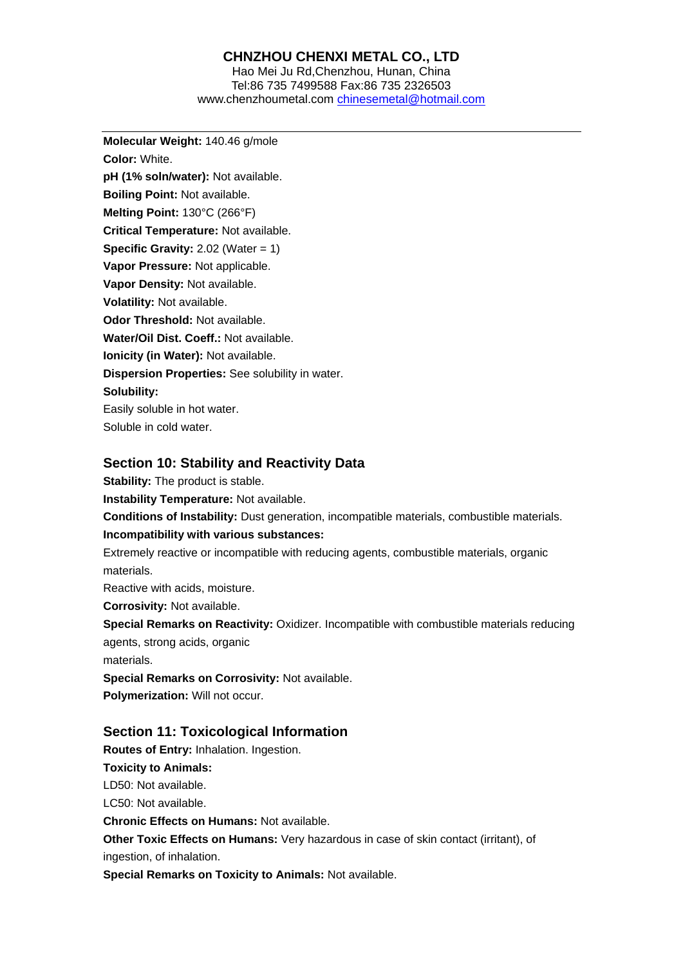#### Hao Mei Ju Rd,Chenzhou, Hunan, China Tel:86 735 7499588 Fax:86 735 2326503 www.chenzhoumetal.com chinesemetal@hotmail.com

**Molecular Weight:** 140.46 g/mole **Color:** White. **pH (1% soln/water):** Not available. **Boiling Point:** Not available. **Melting Point:** 130°C (266°F) **Critical Temperature:** Not available. **Specific Gravity: 2.02 (Water = 1) Vapor Pressure:** Not applicable. **Vapor Density:** Not available. **Volatility:** Not available. **Odor Threshold:** Not available. **Water/Oil Dist. Coeff.:** Not available. **Ionicity (in Water):** Not available. **Dispersion Properties:** See solubility in water. **Solubility:**  Easily soluble in hot water. Soluble in cold water.

#### **Section 10: Stability and Reactivity Data**

**Stability:** The product is stable. **Instability Temperature:** Not available. **Conditions of Instability:** Dust generation, incompatible materials, combustible materials. **Incompatibility with various substances:**  Extremely reactive or incompatible with reducing agents, combustible materials, organic materials. Reactive with acids, moisture. **Corrosivity:** Not available. **Special Remarks on Reactivity:** Oxidizer. Incompatible with combustible materials reducing agents, strong acids, organic materials. **Special Remarks on Corrosivity:** Not available. **Polymerization:** Will not occur. **Section 11: Toxicological Information Routes of Entry:** Inhalation. Ingestion. **Toxicity to Animals:**  LD50: Not available. LC50: Not available. **Chronic Effects on Humans:** Not available. **Other Toxic Effects on Humans:** Very hazardous in case of skin contact (irritant), of ingestion, of inhalation.

**Special Remarks on Toxicity to Animals:** Not available.